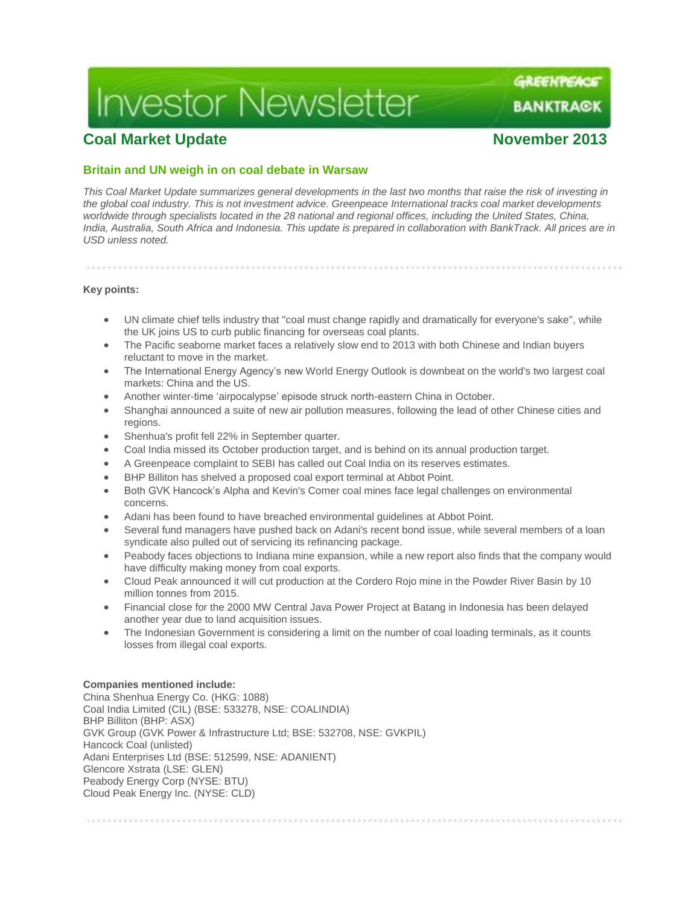# **Investor Newsletter**

GREENTEACE

BANKTRA©K

## **Coal Market Update November 2013**

## **Britain and UN weigh in on coal debate in Warsaw**

*This Coal Market Update summarizes general developments in the last two months that raise the risk of investing in the global coal industry. This is not investment advice. Greenpeace International tracks coal market developments*  worldwide through specialists located in the 28 national and regional offices, including the United States, China, *India, Australia, South Africa and Indonesia. This update is prepared in collaboration with BankTrack. All prices are in USD unless noted.*

## **Key points:**

- UN climate chief tells industry that "coal must change rapidly and dramatically for everyone's sake", while the UK joins US to curb public financing for overseas coal plants.
- The Pacific seaborne market faces a relatively slow end to 2013 with both Chinese and Indian buyers reluctant to move in the market.
- The International Energy Agency's new World Energy Outlook is downbeat on the world's two largest coal markets: China and the US.
- Another winter-time 'airpocalypse' episode struck north-eastern China in October.
- Shanghai announced a suite of new air pollution measures, following the lead of other Chinese cities and regions.
- Shenhua's profit fell 22% in September quarter.
- Coal India missed its October production target, and is behind on its annual production target.
- A Greenpeace complaint to SEBI has called out Coal India on its reserves estimates.
- BHP Billiton has shelved a proposed coal export terminal at Abbot Point.
- Both GVK Hancock's Alpha and Kevin's Corner coal mines face legal challenges on environmental concerns.
- Adani has been found to have breached environmental guidelines at Abbot Point.
- Several fund managers have pushed back on Adani's recent bond issue, while several members of a loan syndicate also pulled out of servicing its refinancing package.
- Peabody faces objections to Indiana mine expansion, while a new report also finds that the company would have difficulty making money from coal exports.
- Cloud Peak announced it will cut production at the Cordero Rojo mine in the Powder River Basin by 10 million tonnes from 2015.
- Financial close for the 2000 MW Central Java Power Project at Batang in Indonesia has been delayed another year due to land acquisition issues.
- The Indonesian Government is considering a limit on the number of coal loading terminals, as it counts losses from illegal coal exports.

#### **Companies mentioned include:**

China Shenhua Energy Co. (HKG: 1088) Coal India Limited (CIL) (BSE: 533278, NSE: COALINDIA) BHP Billiton (BHP: ASX) GVK Group (GVK Power & Infrastructure Ltd; BSE: 532708, NSE: GVKPIL) Hancock Coal (unlisted) Adani Enterprises Ltd (BSE: 512599, NSE: ADANIENT) Glencore Xstrata (LSE: GLEN) Peabody Energy Corp (NYSE: BTU) Cloud Peak Energy Inc. (NYSE: CLD)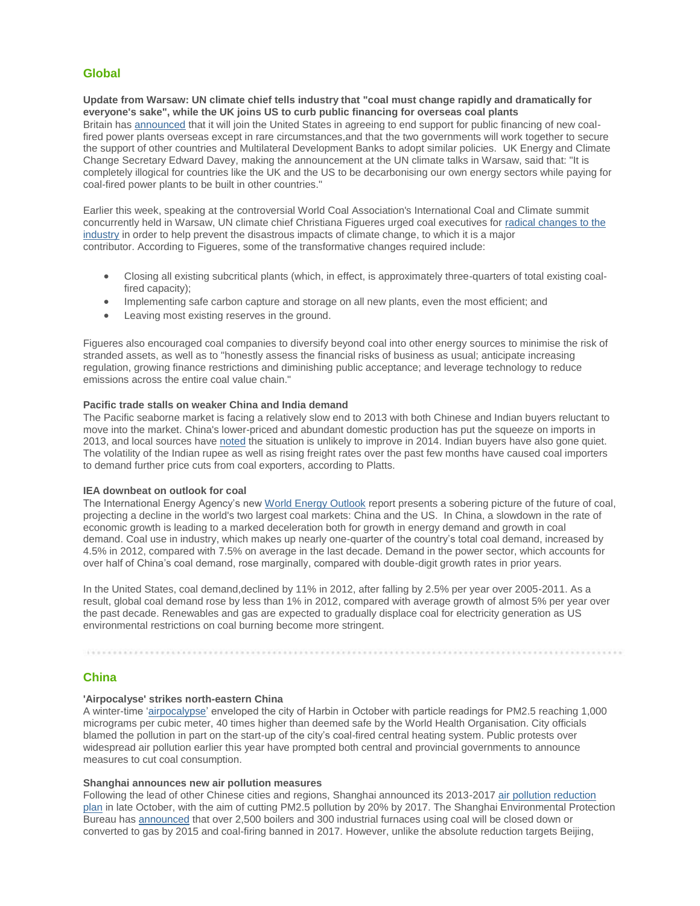## **Global**

**Update from Warsaw: UN climate chief tells industry that "coal must change rapidly and dramatically for everyone's sake", while the UK joins US to curb public financing for overseas coal plants** Britain has [announced](http://www.google.com/hostednews/afp/article/ALeqM5hPZaL1_Wkku3g0S3ms31ugznkd1g?docId=adefc08c-5657-46a9-baa6-7b3a3a231588) that it will join the United States in agreeing to end support for public financing of new coalfired power plants overseas except in rare circumstances, and that the two governments will work together to secure the support of other countries and Multilateral Development Banks to adopt similar policies. UK Energy and Climate Change Secretary Edward Davey, making the announcement at the UN climate talks in Warsaw, said that: "It is completely illogical for countries like the UK and the US to be decarbonising our own energy sectors while paying for coal-fired power plants to be built in other countries."

Earlier this week, speaking at the controversial World Coal Association's International Coal and Climate summit concurrently held in Warsaw, UN climate chief Christiana Figueres urged coal executives for [radical changes to the](http://unfccc.int/files/press/statements/application/pdf/20131811_cop19_coalassociation.pdf)  [industry](http://unfccc.int/files/press/statements/application/pdf/20131811_cop19_coalassociation.pdf) in order to help prevent the disastrous impacts of climate change, to which it is a major contributor. According to Figueres, some of the transformative changes required include:

- Closing all existing subcritical plants (which, in effect, is approximately three-quarters of total existing coalfired capacity);
- Implementing safe carbon capture and storage on all new plants, even the most efficient; and
- Leaving most existing reserves in the ground.

Figueres also encouraged coal companies to diversify beyond coal into other energy sources to minimise the risk of stranded assets, as well as to "honestly assess the financial risks of business as usual; anticipate increasing regulation, growing finance restrictions and diminishing public acceptance; and leverage technology to reduce emissions across the entire coal value chain."

#### **Pacific trade stalls on weaker China and India demand**

The Pacific seaborne market is facing a relatively slow end to 2013 with both Chinese and Indian buyers reluctant to move into the market. China's lower-priced and abundant domestic production has put the squeeze on imports in 2013, and local sources have [noted](http://www.reuters.com/article/2013/10/22/china-coal-idUSL3N0IC0WN20131022) the situation is unlikely to improve in 2014. Indian buyers have also gone quiet. The volatility of the Indian rupee as well as rising freight rates over the past few months have caused coal importers to demand further price cuts from coal exporters, according to Platts.

#### **IEA downbeat on outlook for coal**

The International Energy Agency's new [World Energy Outlook](http://www.worldenergyoutlook.org/) report presents a sobering picture of the future of coal, projecting a decline in the world's two largest coal markets: China and the US. In China, a slowdown in the rate of economic growth is leading to a marked deceleration both for growth in energy demand and growth in coal demand. Coal use in industry, which makes up nearly one-quarter of the country's total coal demand, increased by 4.5% in 2012, compared with 7.5% on average in the last decade. Demand in the power sector, which accounts for over half of China's coal demand, rose marginally, compared with double-digit growth rates in prior years.

In the United States, coal demand,declined by 11% in 2012, after falling by 2.5% per year over 2005-2011. As a result, global coal demand rose by less than 1% in 2012, compared with average growth of almost 5% per year over the past decade. Renewables and gas are expected to gradually displace coal for electricity generation as US environmental restrictions on coal burning become more stringent.

#### **China**

#### **'Airpocalyse' strikes north-eastern China**

A winter-time ['airpocalypse'](http://english.peopledaily.com.cn/90882/8433264.html) enveloped the city of Harbin in October with particle readings for PM2.5 reaching 1,000 micrograms per cubic meter, 40 times higher than deemed safe by the World Health Organisation. City officials blamed the pollution in part on the start-up of the city's coal-fired central heating system. Public protests over widespread air pollution earlier this year have prompted both central and provincial governments to announce measures to cut coal consumption.

#### **Shanghai announces new air pollution measures**

The main particle is a mean of the company of the company of the company of the company of the company of

Following the lead of other Chinese cities and regions, Shanghai announced its 2013-2017 [air pollution reduction](http://www.shanghai.gov.cn/shanghai/node2314/node2319/node12344/u26ai37168.html)  [plan](http://www.shanghai.gov.cn/shanghai/node2314/node2319/node12344/u26ai37168.html) in late October, with the aim of cutting PM2.5 pollution by 20% by 2017. The Shanghai Environmental Protection Bureau has [announced](http://usa.chinadaily.com.cn/china/2013-10/19/content_17044642.htm) that over 2,500 boilers and 300 industrial furnaces using coal will be closed down or converted to gas by 2015 and coal-firing banned in 2017. However, unlike the absolute reduction targets Beijing,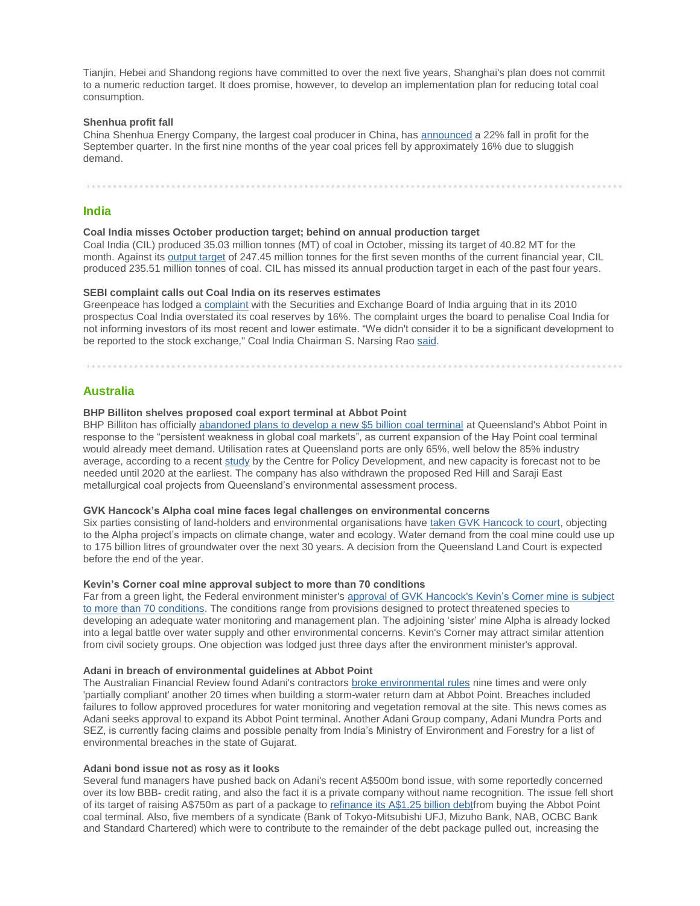Tianjin, Hebei and Shandong regions have committed to over the next five years, Shanghai's plan does not commit to a numeric reduction target. It does promise, however, to develop an implementation plan for reducing total coal consumption.

#### **Shenhua profit fall**

China Shenhua Energy Company, the largest coal producer in China, has [announced](http://in.reuters.com/article/2013/10/25/shenhua-results-idINL3N0IF2Y220131025) a 22% fall in profit for the September quarter. In the first nine months of the year coal prices fell by approximately 16% due to sluggish demand.

#### **India**

#### **Coal India misses October production target; behind on annual production target**

Coal India (CIL) produced 35.03 million tonnes (MT) of coal in October, missing its target of 40.82 MT for the month. Against its [output target](http://businesstoday.intoday.in/story/coal-india-misses-production-offtake-targets-for-october/1/200309.html) of 247.45 million tonnes for the first seven months of the current financial year, CIL produced 235.51 million tonnes of coal. CIL has missed its annual production target in each of the past four years.

#### **SEBI complaint calls out Coal India on its reserves estimates**

Greenpeace has lodged a [complaint](http://www.greenpeace.org/india/en/Blog/Campaign_blogs/coal-india-misleading-investors-destroying-fo/blog/46730/http:/www.greenpeace.org/india/en/Blog/Campaign_blogs/coal-india-misleading-investors-destroying-fo/blog/46730/) with the Securities and Exchange Board of India arguing that in its 2010 prospectus Coal India overstated its coal reserves by 16%. The complaint urges the board to penalise Coal India for not informing investors of its most recent and lower estimate. "We didn't consider it to be a significant development to be reported to the stock exchange," Coal India Chairman S. Narsing Rao [said.](http://www.business-standard.com/article/companies/coal-india-rubbishes-greenpeace-allegations-113092401090_1.html)

#### **Australia**

#### **BHP Billiton shelves proposed coal export terminal at Abbot Point**

BHP Billiton has officially [abandoned plans to develop a new \\$5 billion coal terminal](http://www.afr.com/p/business/companies/bhp_gives_up_on_abbot_point_terminal_lFxnkCigU5XvsXCxdMSGGJ) at Queensland's Abbot Point in response to the "persistent weakness in global coal markets", as current expansion of the Hay Point coal terminal would already meet demand. Utilisation rates at Queensland ports are only 65%, well below the 85% industry average, according to a recent [study](http://cpd.org.au/2013/11/too-many-ports/) by the Centre for Policy Development, and new capacity is forecast not to be needed until 2020 at the earliest. The company has also withdrawn the proposed Red Hill and Saraji East metallurgical coal projects from Queensland's environmental assessment process.

#### **GVK Hancock's Alpha coal mine faces legal challenges on environmental concerns**

Six parties consisting of land-holders and environmental organisations have [taken GVK Hancock to court,](http://www.abc.net.au/news/2013-10-25/land-court-hears-closing-arguments-alpha-coal-mine-project-case/5046002) objecting to the Alpha project's impacts on climate change, water and ecology. Water demand from the coal mine could use up to 175 billion litres of groundwater over the next 30 years. A decision from the Queensland Land Court is expected before the end of the year.

#### **Kevin's Corner coal mine approval subject to more than 70 conditions**

Far from a green light, the Federal environment minister's [approval of GVK](http://www.theguardian.com/environment/2013/nov/04/green-groups-legal-kevins-corner) Hancock's [Kevin's Corner mine](http://www.theguardian.com/environment/2013/nov/04/green-groups-legal-kevins-corner) [is subject](http://www.theguardian.com/environment/2013/nov/04/green-groups-legal-kevins-corner)  [to more than 70 conditions.](http://www.theguardian.com/environment/2013/nov/04/green-groups-legal-kevins-corner) The conditions range from provisions designed to protect threatened species to developing an adequate water monitoring and management plan. The adjoining 'sister' mine Alpha is already locked into a legal battle over water supply and other environmental concerns. Kevin's Corner may attract similar attention from civil society groups. One objection was lodged just three days after the environment minister's approval.

#### **Adani in breach of environmental guidelines at Abbot Point**

The Australian Financial Review found Adani's contractors [broke environmental rules](http://www.afr.com/p/national/adani_in_breach_of_green_guidelines_teLsDKPdouu9TowXE41n1J) nine times and were only 'partially compliant' another 20 times when building a storm-water return dam at Abbot Point. Breaches included failures to follow approved procedures for water monitoring and vegetation removal at the site. This news comes as Adani seeks approval to expand its Abbot Point terminal. Another Adani Group company, Adani Mundra Ports and SEZ, is currently facing claims and possible penalty from India's Ministry of Environment and Forestry for a list of environmental breaches in the state of Gujarat.

#### **Adani bond issue not as rosy as it looks**

Several fund managers have pushed back on Adani's recent A\$500m bond issue, with some reportedly concerned over its low BBB- credit rating, and also the fact it is a private company without name recognition. The issue fell short of its target of raising A\$750m as part of a package to [refinance its](http://www.ifrasia.com/reality-check-for-aussie-debt/21116788.article) [A\\$1.25 billion debtf](http://www.ifrasia.com/reality-check-for-aussie-debt/21116788.article)rom buying the Abbot Point coal terminal. Also, five members of a syndicate (Bank of Tokyo-Mitsubishi UFJ, Mizuho Bank, NAB, OCBC Bank and Standard Chartered) which were to contribute to the remainder of the debt package pulled out, increasing the